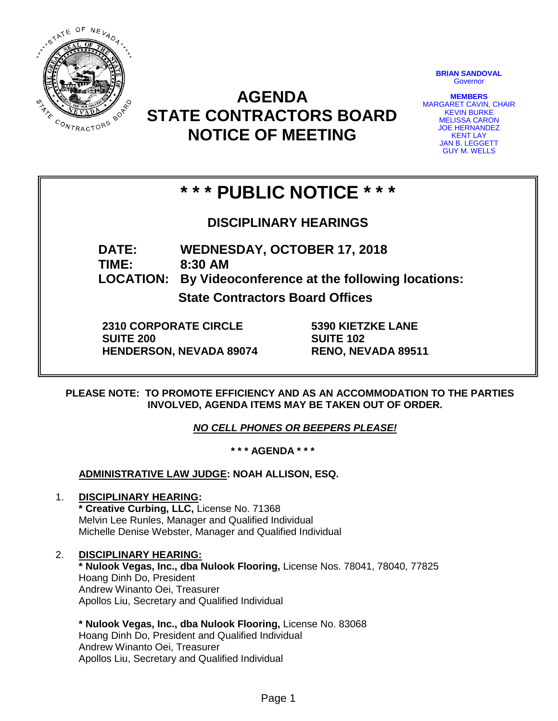

**AGENDA STATE CONTRACTORS BOARD NOTICE OF MEETING**

**BRIAN SANDOVAL Governor** 

**MEMBERS** MARGARET CAVIN, CHAIR KEVIN BURKE MELISSA CARON JOE HERNANDEZ KENT LAY JAN B. LEGGETT GUY M. WELLS

# **\* \* \* PUBLIC NOTICE \* \* \***

**DISCIPLINARY HEARINGS**

**DATE: WEDNESDAY, OCTOBER 17, 2018 TIME: 8:30 AM LOCATION: By Videoconference at the following locations:**

**State Contractors Board Offices**

**2310 CORPORATE CIRCLE SUITE 200 HENDERSON, NEVADA 89074** **5390 KIETZKE LANE SUITE 102 RENO, NEVADA 89511**

**PLEASE NOTE: TO PROMOTE EFFICIENCY AND AS AN ACCOMMODATION TO THE PARTIES INVOLVED, AGENDA ITEMS MAY BE TAKEN OUT OF ORDER.**

*NO CELL PHONES OR BEEPERS PLEASE!* 

**\* \* \* AGENDA \* \* \***

**ADMINISTRATIVE LAW JUDGE: NOAH ALLISON, ESQ.** 

- 1. **DISCIPLINARY HEARING: \* Creative Curbing, LLC,** License No. 71368 Melvin Lee Runles, Manager and Qualified Individual Michelle Denise Webster, Manager and Qualified Individual
- 2. **DISCIPLINARY HEARING: \* Nulook Vegas, Inc., dba Nulook Flooring,** License Nos. 78041, 78040, 77825 Hoang Dinh Do, President Andrew Winanto Oei, Treasurer Apollos Liu, Secretary and Qualified Individual
	- **\* Nulook Vegas, Inc., dba Nulook Flooring,** License No. 83068 Hoang Dinh Do, President and Qualified Individual Andrew Winanto Oei, Treasurer Apollos Liu, Secretary and Qualified Individual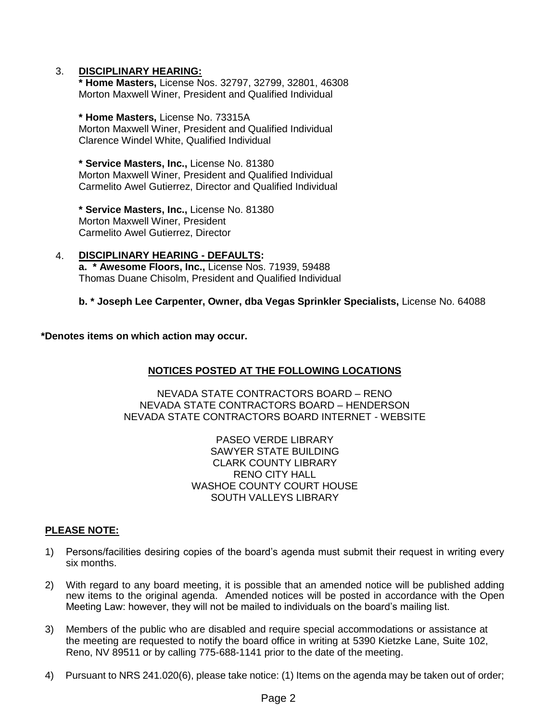### 3. **DISCIPLINARY HEARING:**

**\* Home Masters,** License Nos. 32797, 32799, 32801, 46308 Morton Maxwell Winer, President and Qualified Individual

**\* Home Masters,** License No. 73315A Morton Maxwell Winer, President and Qualified Individual Clarence Windel White, Qualified Individual

**\* Service Masters, Inc.,** License No. 81380 Morton Maxwell Winer, President and Qualified Individual Carmelito Awel Gutierrez, Director and Qualified Individual

**\* Service Masters, Inc.,** License No. 81380 Morton Maxwell Winer, President Carmelito Awel Gutierrez, Director

4. **DISCIPLINARY HEARING - DEFAULTS: a. \* Awesome Floors, Inc.,** License Nos. 71939, 59488 Thomas Duane Chisolm, President and Qualified Individual

## **b. \* Joseph Lee Carpenter, Owner, dba Vegas Sprinkler Specialists,** License No. 64088

**\*Denotes items on which action may occur.**

## **NOTICES POSTED AT THE FOLLOWING LOCATIONS**

NEVADA STATE CONTRACTORS BOARD – RENO NEVADA STATE CONTRACTORS BOARD – HENDERSON NEVADA STATE CONTRACTORS BOARD INTERNET - WEBSITE

> PASEO VERDE LIBRARY SAWYER STATE BUILDING CLARK COUNTY LIBRARY RENO CITY HALL WASHOE COUNTY COURT HOUSE SOUTH VALLEYS LIBRARY

## **PLEASE NOTE:**

- 1) Persons/facilities desiring copies of the board's agenda must submit their request in writing every six months.
- 2) With regard to any board meeting, it is possible that an amended notice will be published adding new items to the original agenda. Amended notices will be posted in accordance with the Open Meeting Law: however, they will not be mailed to individuals on the board's mailing list.
- 3) Members of the public who are disabled and require special accommodations or assistance at the meeting are requested to notify the board office in writing at 5390 Kietzke Lane, Suite 102, Reno, NV 89511 or by calling 775-688-1141 prior to the date of the meeting.
- 4) Pursuant to NRS 241.020(6), please take notice: (1) Items on the agenda may be taken out of order;